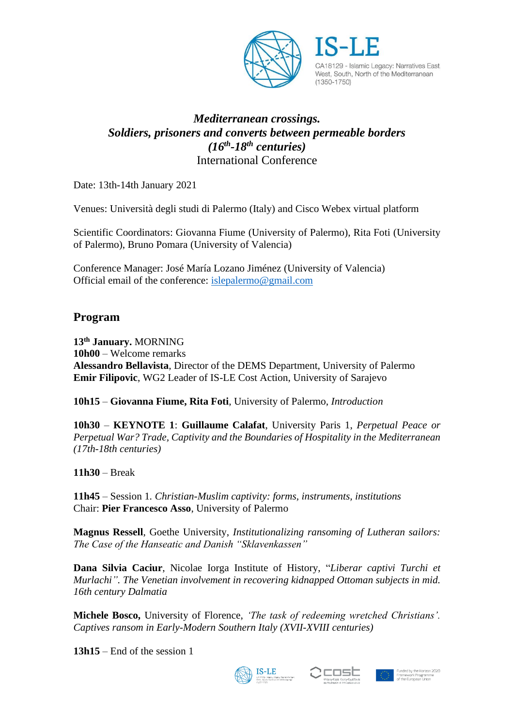

CA18129 - Islamic Legacy: Narratives East, West, South, North of the Mediterranean  $(1350 - 1750)$ 

# *Mediterranean crossings. Soldiers, prisoners and converts between permeable borders (16th -18th centuries)* International Conference

Date: 13th-14th January 2021

Venues: Università degli studi di Palermo (Italy) and Cisco Webex virtual platform

Scientific Coordinators: Giovanna Fiume (University of Palermo), Rita Foti (University of Palermo), Bruno Pomara (University of Valencia)

Conference Manager: José María Lozano Jiménez (University of Valencia) Official email of the conference: [islepalermo@gmail.com](mailto:islepalermo@gmail.com)

# **Program**

**13th January.** MORNING **10h00** – Welcome remarks **Alessandro Bellavista**, Director of the DEMS Department, University of Palermo **Emir Filipovic**, WG2 Leader of IS-LE Cost Action, University of Sarajevo

**10h15** – **Giovanna Fiume, Rita Foti**, University of Palermo, *Introduction*

**10h30** – **KEYNOTE 1**: **Guillaume Calafat**, University Paris 1, *Perpetual Peace or Perpetual War? Trade, Captivity and the Boundaries of Hospitality in the Mediterranean (17th-18th centuries)*

**11h30** – Break

**11h45** – Session 1*. Christian-Muslim captivity: forms, instruments, institutions*  Chair: **Pier Francesco Asso**, University of Palermo

**Magnus Ressell**, Goethe University, *Institutionalizing ransoming of Lutheran sailors: The Case of the Hanseatic and Danish "Sklavenkassen"*

**Dana Silvia Caciur**, Nicolae Iorga Institute of History, "*Liberar captivi Turchi et Murlachi". The Venetian involvement in recovering kidnapped Ottoman subjects in mid. 16th century Dalmatia*

**Michele Bosco,** University of Florence, *'The task of redeeming wretched Christians'. Captives ransom in Early-Modern Southern Italy (XVII-XVIII centuries)*

**13h15** – End of the session 1



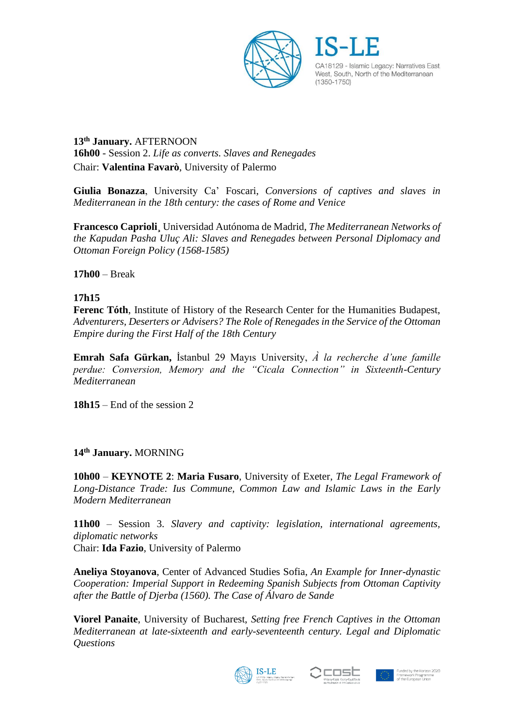

CA18129 - Islamic Legacy: Narratives East, West, South, North of the Mediterranean  $(1350 - 1750)$ 

**13th January.** AFTERNOON **16h00** - Session 2. *Life as converts. Slaves and Renegades* Chair: **Valentina Favarò**, University of Palermo

**Giulia Bonazza**, University Ca' Foscari, *Conversions of captives and slaves in Mediterranean in the 18th century: the cases of Rome and Venice*

**Francesco Caprioli¸** Universidad Autónoma de Madrid, *The Mediterranean Networks of the Kapudan Pasha Uluç Ali: Slaves and Renegades between Personal Diplomacy and Ottoman Foreign Policy (1568-1585)*

**17h00** – Break

#### **17h15**

**Ferenc Tóth**, Institute of History of the Research Center for the Humanities Budapest, *Adventurers, Deserters or Advisers? The Role of Renegades in the Service of the Ottoman Empire during the First Half of the 18th Century*

**Emrah Safa Gürkan,** İstanbul 29 Mayıs University, *À la recherche d'une famille perdue: Conversion, Memory and the "Cicala Connection" in Sixteenth-Century Mediterranean*

**18h15** – End of the session 2

### **14th January.** MORNING

**10h00** – **KEYNOTE 2**: **Maria Fusaro**, University of Exeter, *The Legal Framework of Long-Distance Trade: Ius Commune, Common Law and Islamic Laws in the Early Modern Mediterranean*

**11h00** – Session 3. *Slavery and captivity: legislation, international agreements, diplomatic networks*  Chair: **Ida Fazio**, University of Palermo

**Aneliya Stoyanova**, Center of Advanced Studies Sofia, *An Example for Inner-dynastic Cooperation: Imperial Support in Redeeming Spanish Subjects from Ottoman Captivity after the Battle of Djerba (1560). The Case of Álvaro de Sande*

**Viorel Panaite**, University of Bucharest, *Setting free French Captives in the Ottoman Mediterranean at late-sixteenth and early-seventeenth century. Legal and Diplomatic Questions*





Framework Programr<br>of the European Unior